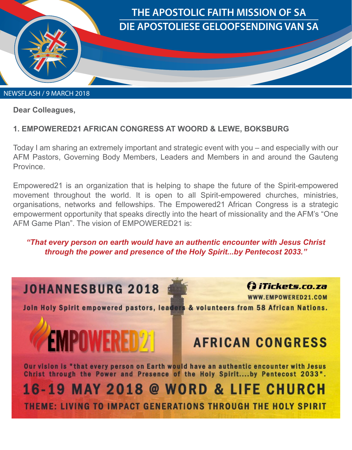

**Dear Colleagues,** 

## **1. EMPOWERED21 AFRICAN CONGRESS AT WOORD & LEWE, BOKSBURG**

Today I am sharing an extremely important and strategic event with you – and especially with our AFM Pastors, Governing Body Members, Leaders and Members in and around the Gauteng **Province** 

Empowered21 is an organization that is helping to shape the future of the Spirit-empowered movement throughout the world. It is open to all Spirit-empowered churches, ministries, organisations, networks and fellowships. The Empowered21 African Congress is a strategic empowerment opportunity that speaks directly into the heart of missionality and the AFM's "One AFM Game Plan". The vision of EMPOWERED21 is:

## *"That every person on earth would have an authentic encounter with Jesus Christ through the power and presence of the Holy Spirit...by Pentecost 2033."*

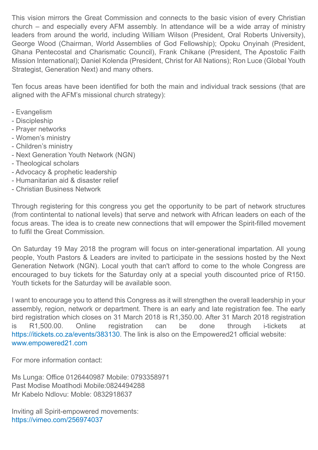This vision mirrors the Great Commission and connects to the basic vision of every Christian church – and especially every AFM assembly. In attendance will be a wide array of ministry leaders from around the world, including William Wilson (President, Oral Roberts University), George Wood (Chairman, World Assemblies of God Fellowship); Opoku Onyinah (President, Ghana Pentecostal and Charismatic Council), Frank Chikane (President, The Apostolic Faith Mission International); Daniel Kolenda (President, Christ for All Nations); Ron Luce (Global Youth Strategist, Generation Next) and many others.

Ten focus areas have been identified for both the main and individual track sessions (that are aligned with the AFM's missional church strategy):

- Evangelism
- Discipleship
- Prayer networks
- Women's ministry
- Children's ministry
- Next Generation Youth Network (NGN)
- Theological scholars
- Advocacy & prophetic leadership
- Humanitarian aid & disaster relief
- Christian Business Network

Through registering for this congress you get the opportunity to be part of network structures (from contintental to national levels) that serve and network with African leaders on each of the focus areas. The idea is to create new connections that will empower the Spirit-filled movement to fulfil the Great Commission.

On Saturday 19 May 2018 the program will focus on inter-generational impartation. All young people, Youth Pastors & Leaders are invited to participate in the sessions hosted by the Next Generation Network (NGN). Local youth that can't afford to come to the whole Congress are encouraged to buy tickets for the Saturday only at a special youth discounted price of R150. Youth tickets for the Saturday will be available soon.

I want to encourage you to attend this Congress as it will strengthen the overall leadership in your assembly, region, network or department. There is an early and late registration fee. The early bird registration which closes on 31 March 2018 is R1,350.00. After 31 March 2018 registration is R1,500.00. Online registration can be done through i-tickets at https://itickets.co.za/events/383130. The link is also on the Empowered21 official website: www.empowered21.com

For more information contact:

Ms Lunga: Office 0126440987 Mobile: 0793358971 Past Modise Moatlhodi Mobile:0824494288 Mr Kabelo Ndlovu: Moble: 0832918637

Inviting all Spirit-empowered movements: https://vimeo.com/256974037